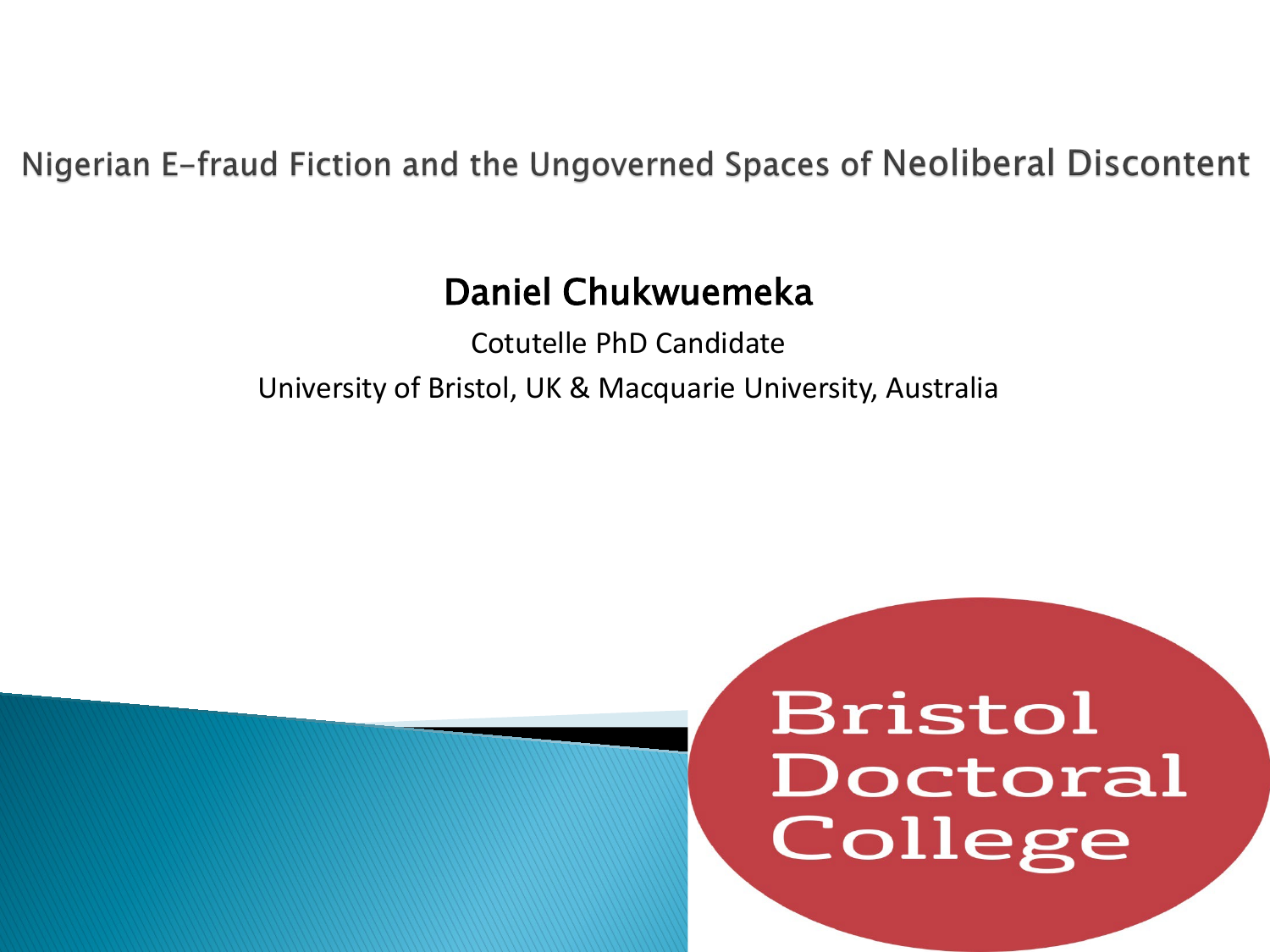Nigerian E-fraud Fiction and the Ungoverned Spaces of Neoliberal Discontent

#### Daniel Chukwuemeka

Cotutelle PhD Candidate University of Bristol, UK & Macquarie University, Australia

### **Bristol** Doctoral College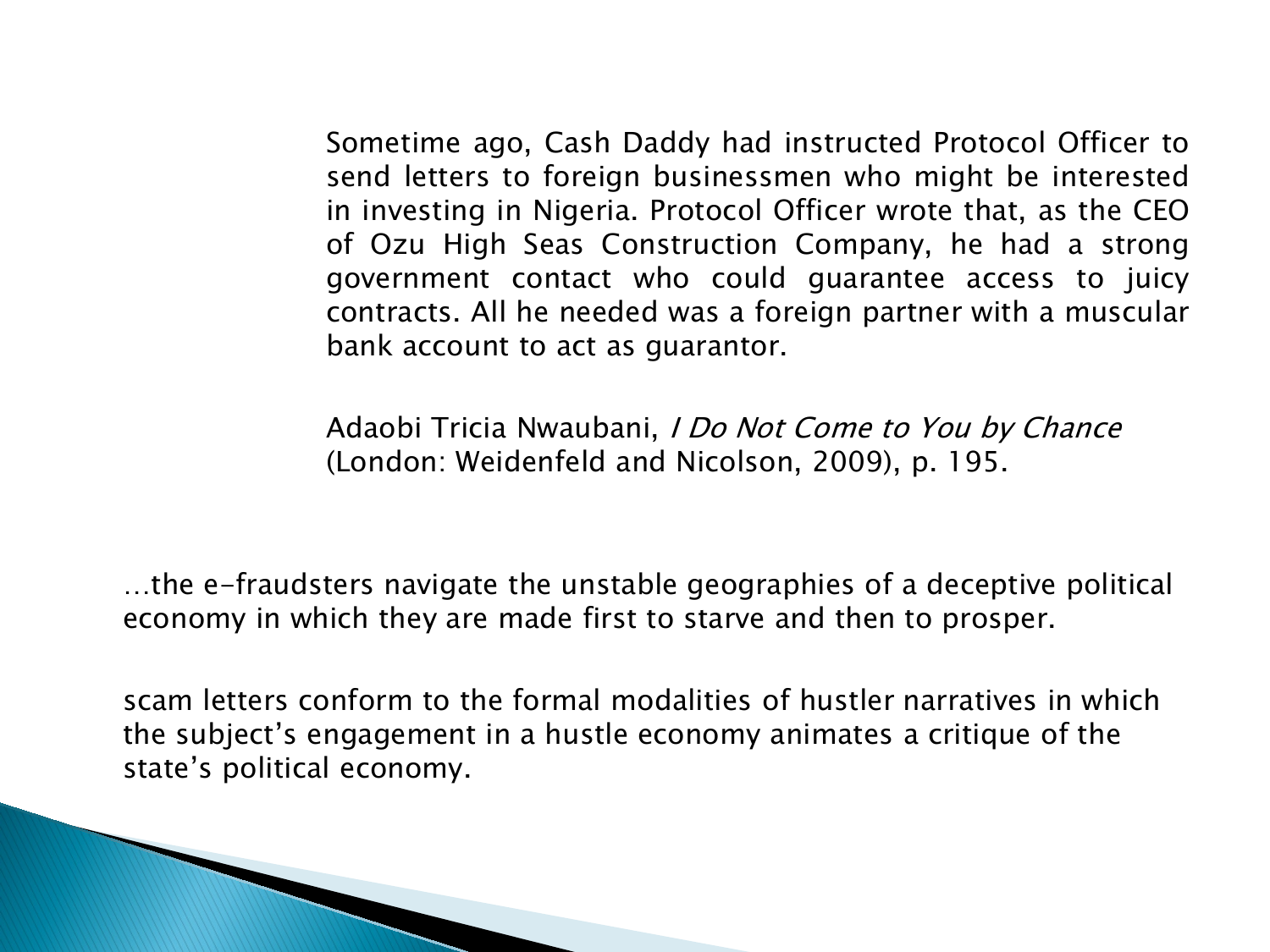Sometime ago, Cash Daddy had instructed Protocol Officer to send letters to foreign businessmen who might be interested in investing in Nigeria. Protocol Officer wrote that, as the CEO of Ozu High Seas Construction Company, he had a strong government contact who could guarantee access to juicy contracts. All he needed was a foreign partner with a muscular bank account to act as guarantor.

Adaobi Tricia Nwaubani, I Do Not Come to You by Chance (London: Weidenfeld and Nicolson, 2009), p. 195.

…the e-fraudsters navigate the unstable geographies of a deceptive political economy in which they are made first to starve and then to prosper.

scam letters conform to the formal modalities of hustler narratives in which the subject's engagement in a hustle economy animates a critique of the state's political economy.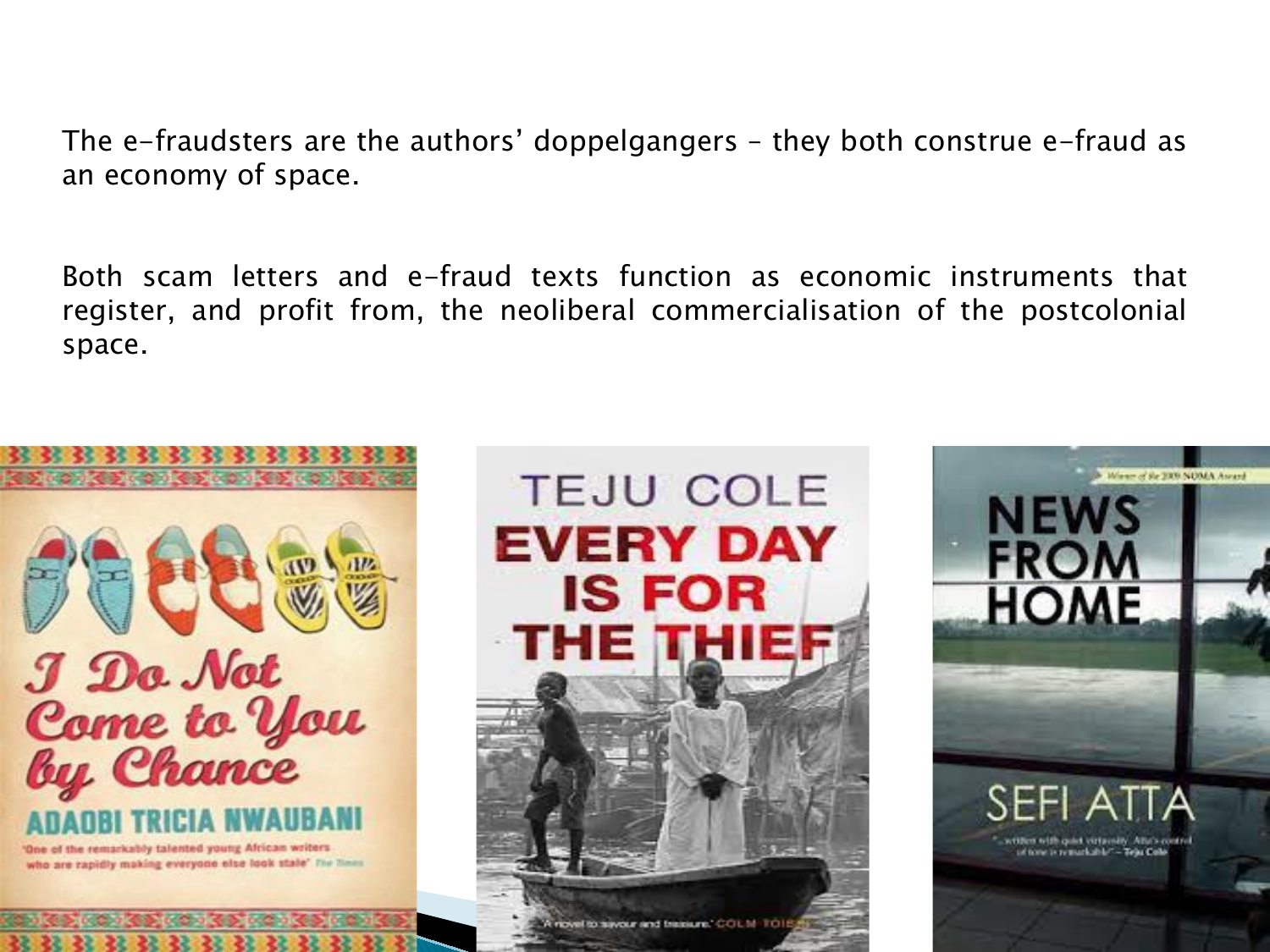The e-fraudsters are the authors' doppelgangers – they both construe e-fraud as an economy of space.

Both scam letters and e-fraud texts function as economic instruments that register, and profit from, the neoliberal commercialisation of the postcolonial space.





**TEJU COLE** 

**EVERY DAY** 

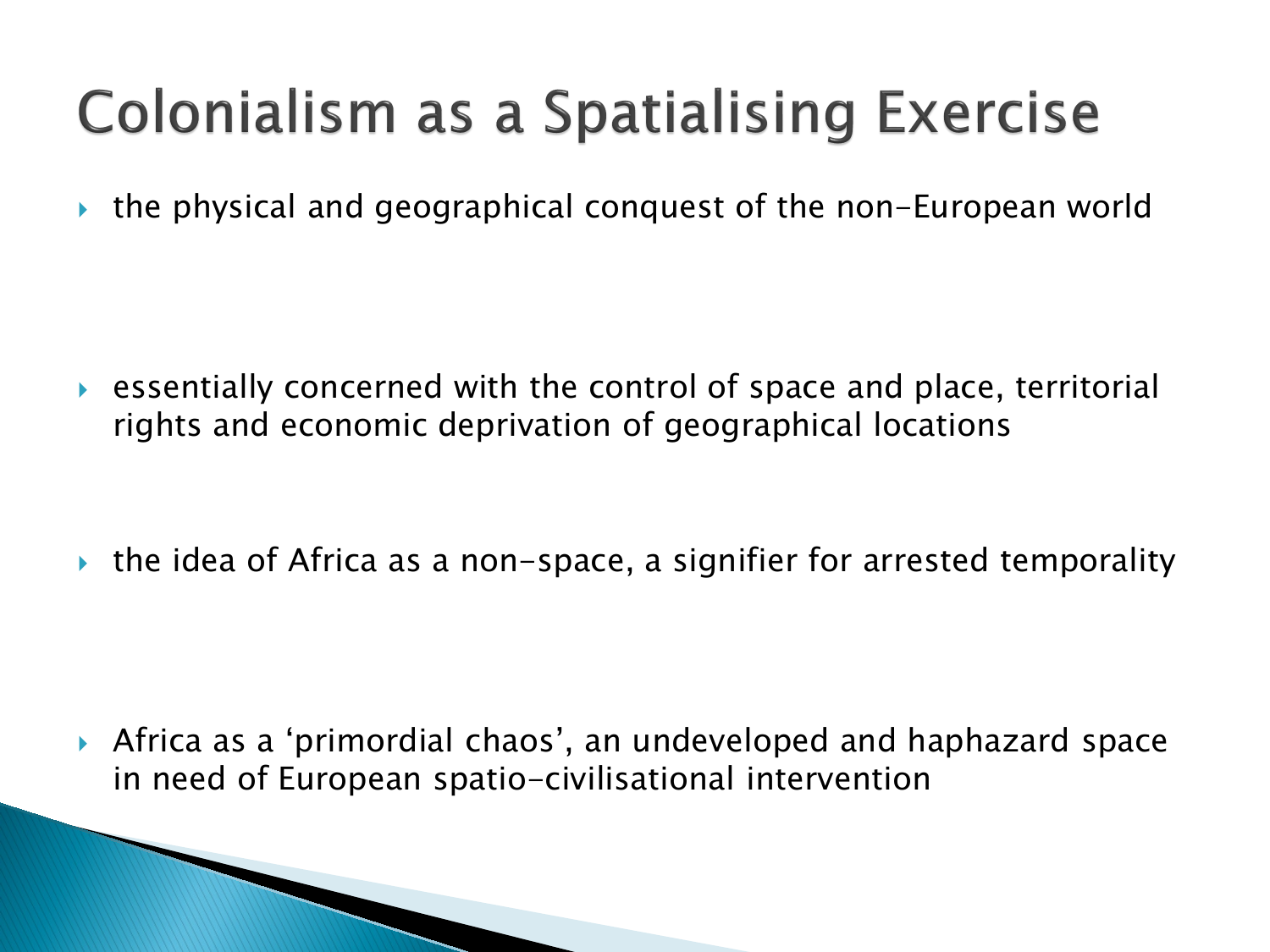### **Colonialism as a Spatialising Exercise**

the physical and geographical conquest of the non-European world

 essentially concerned with the control of space and place, territorial rights and economic deprivation of geographical locations

 $\rightarrow$  the idea of Africa as a non-space, a signifier for arrested temporality

 Africa as a 'primordial chaos', an undeveloped and haphazard space in need of European spatio-civilisational intervention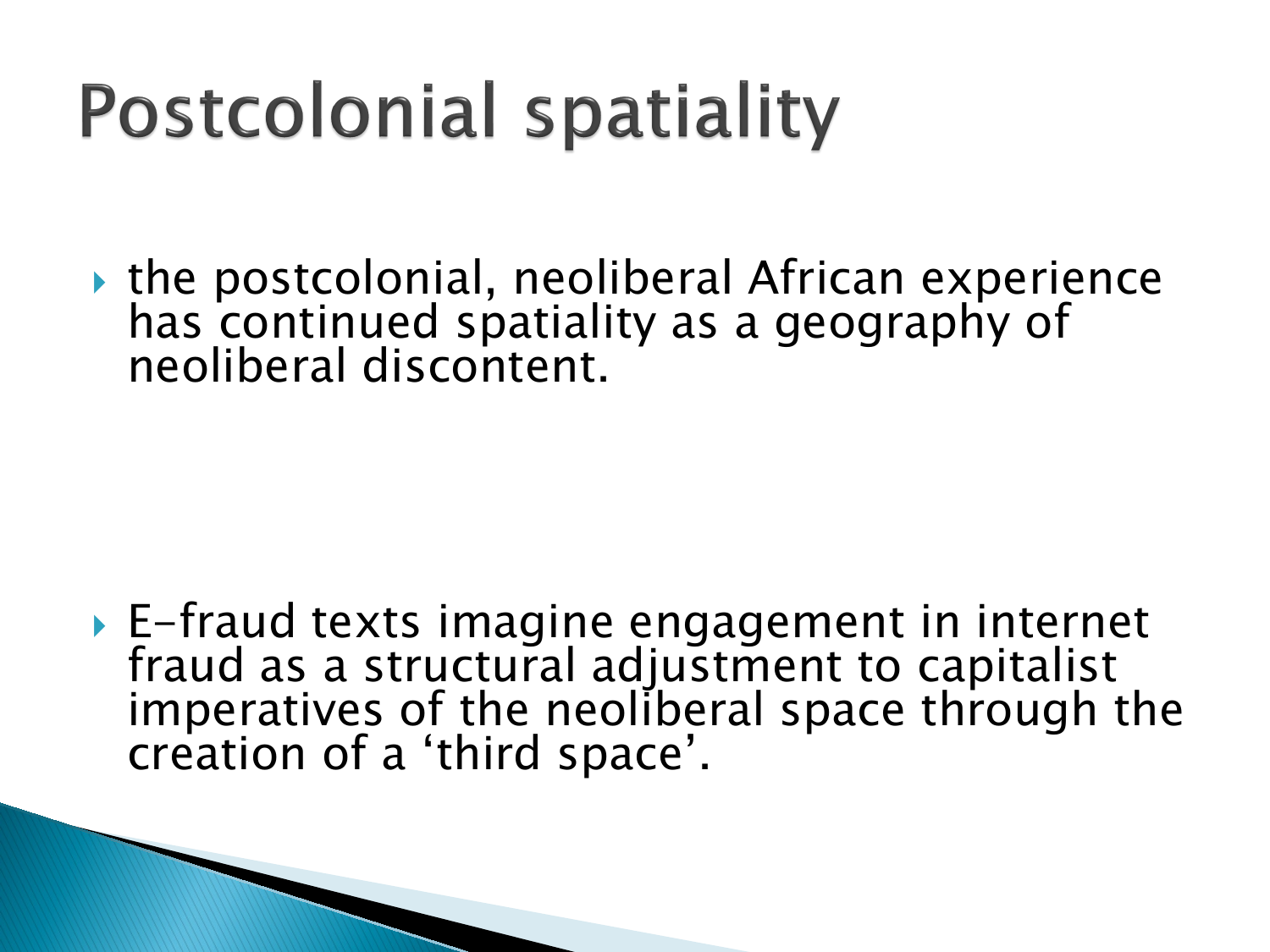# **Postcolonial spatiality**

▶ the postcolonial, neoliberal African experience has continued spatiality as a geography of neoliberal discontent.

 E-fraud texts imagine engagement in internet fraud as a structural adjustment to capitalist imperatives of the neoliberal space through the creation of a 'third space'.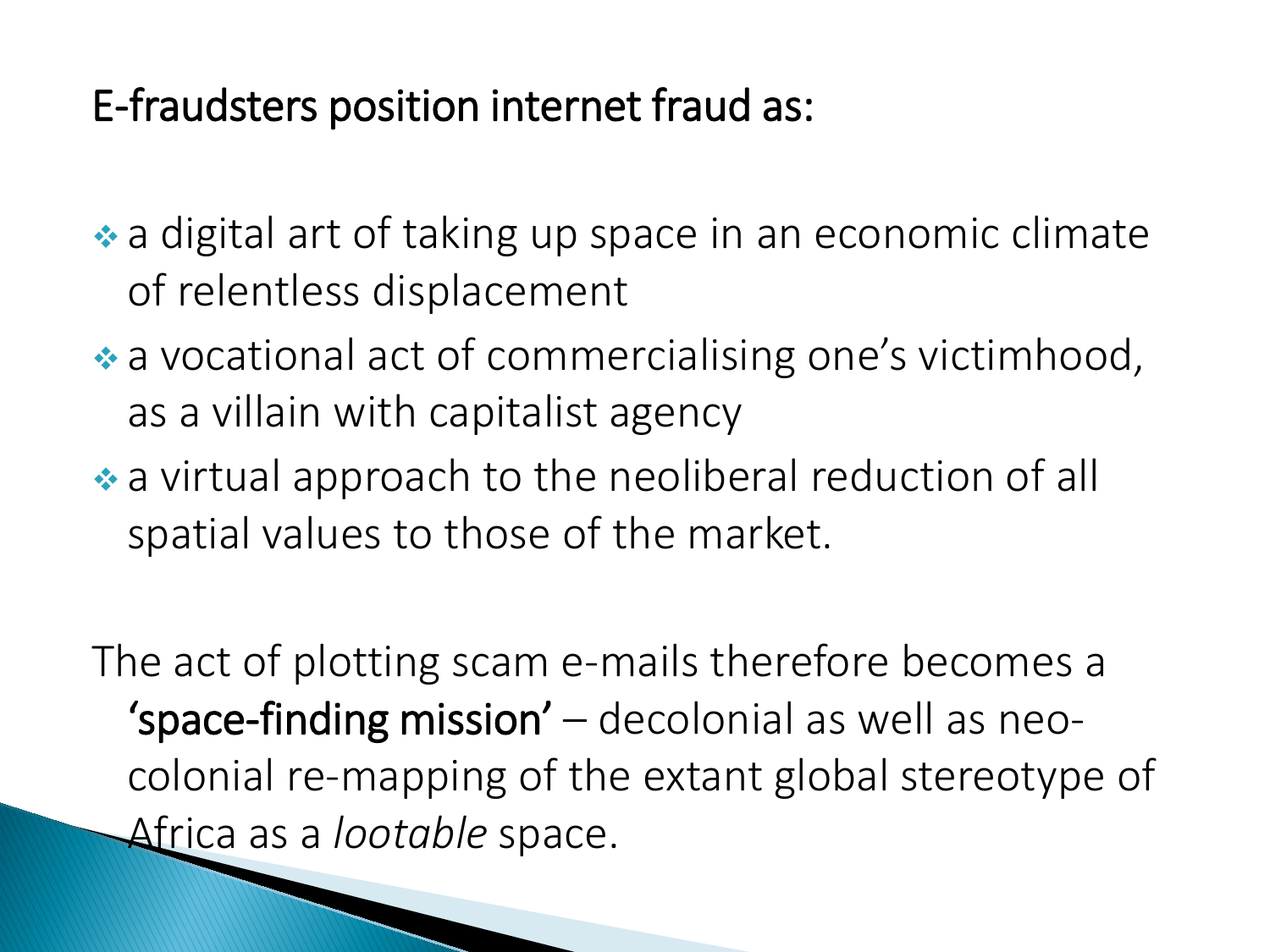#### E-fraudsters position internet fraud as:

• a digital art of taking up space in an economic climate of relentless displacement

- a vocational act of commercialising one's victimhood, as a villain with capitalist agency
- a virtual approach to the neoliberal reduction of all spatial values to those of the market.

The act of plotting scam e-mails therefore becomes a 'space-finding mission' – decolonial as well as neocolonial re-mapping of the extant global stereotype of Africa as a *lootable* space.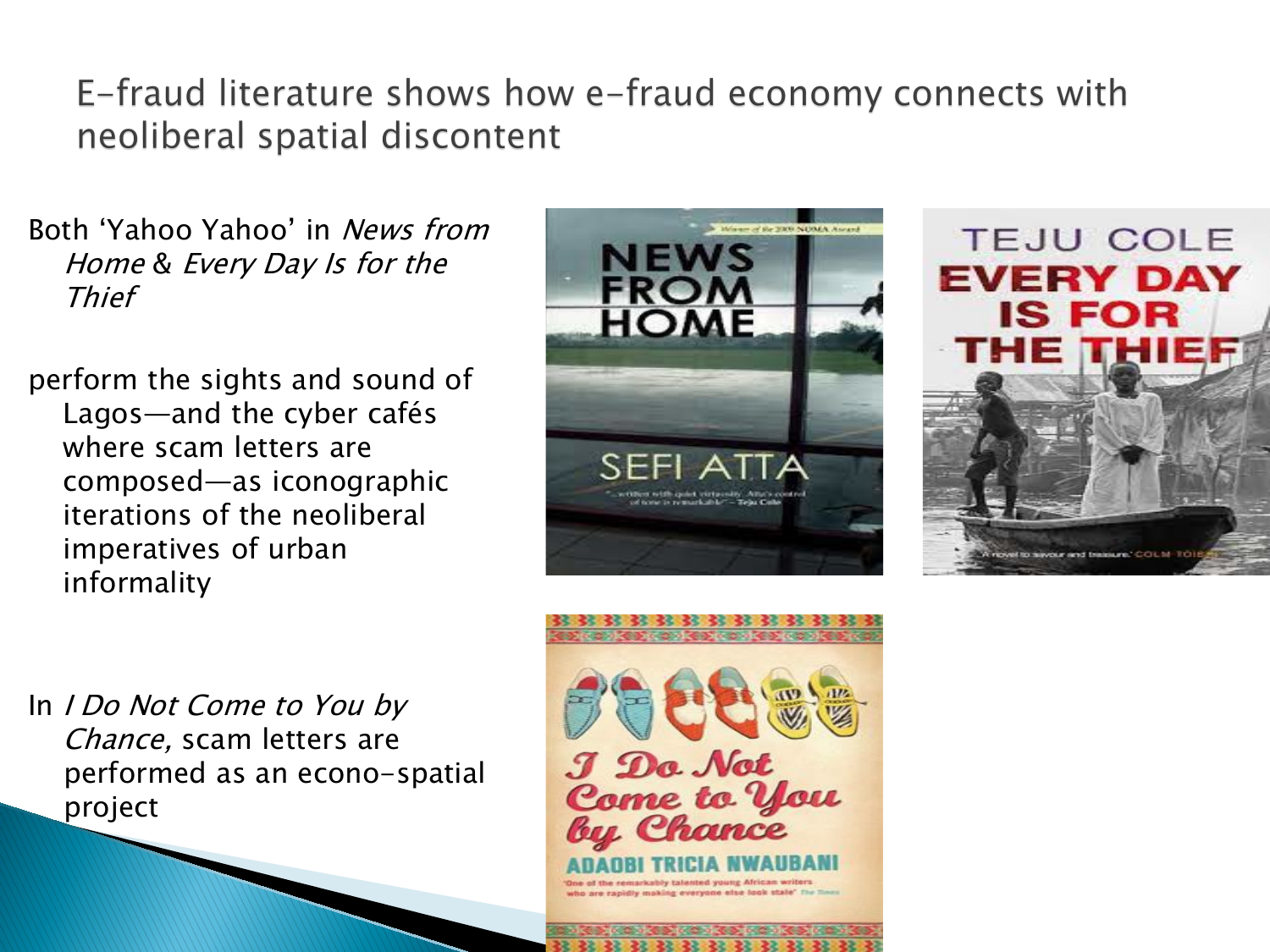E-fraud literature shows how e-fraud economy connects with neoliberal spatial discontent

Both 'Yahoo Yahoo' in News from Home & Every Day Is for the Thief

perform the sights and sound of Lagos—and the cyber cafés where scam letters are composed—as iconographic iterations of the neoliberal imperatives of urban informality





In *I Do Not Come to You by* Chance, scam letters are performed as an econo-spatial project



22 22 22 23 23 23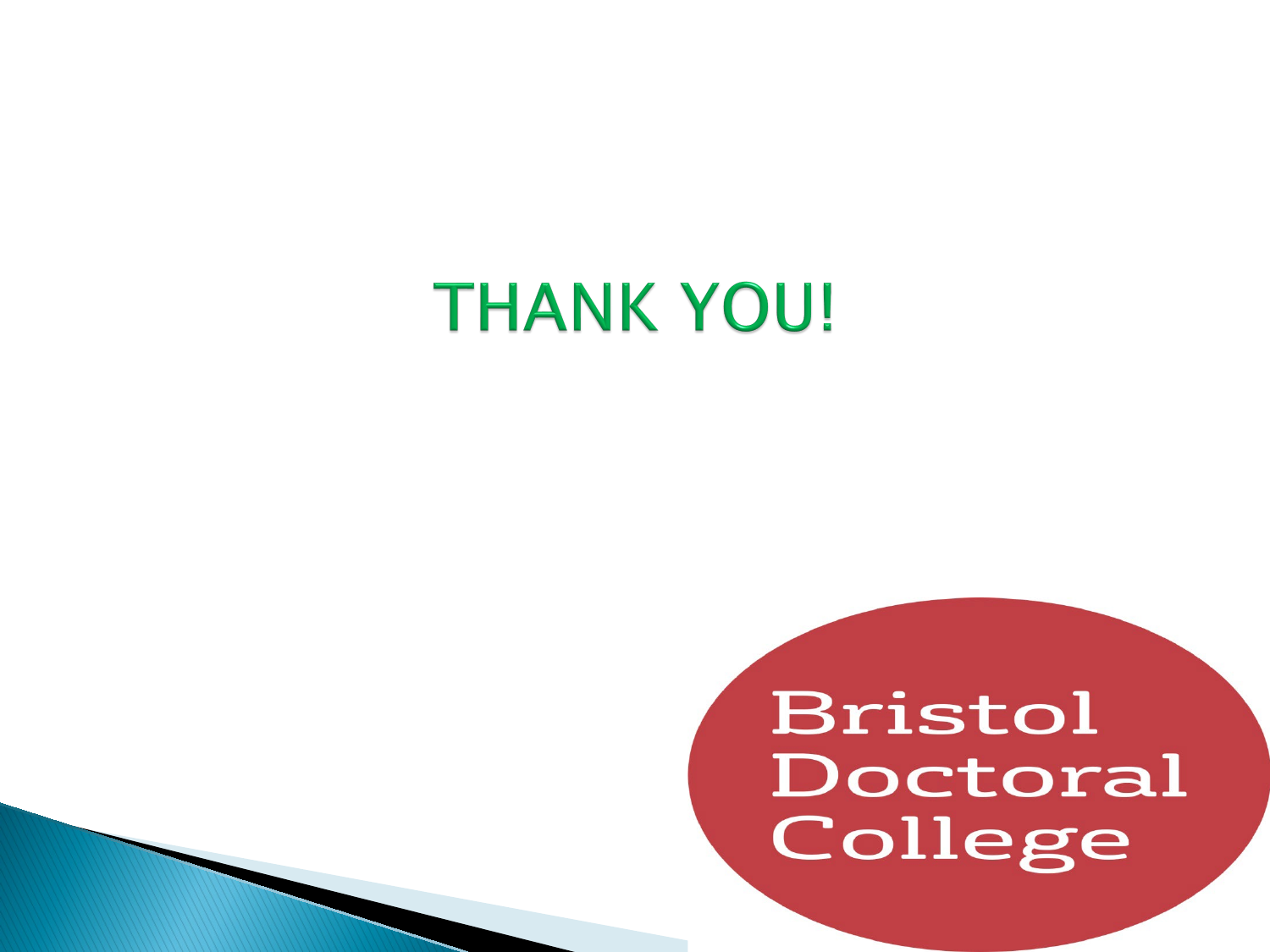### **THANK YOU!**

### Bristol Doctoral College